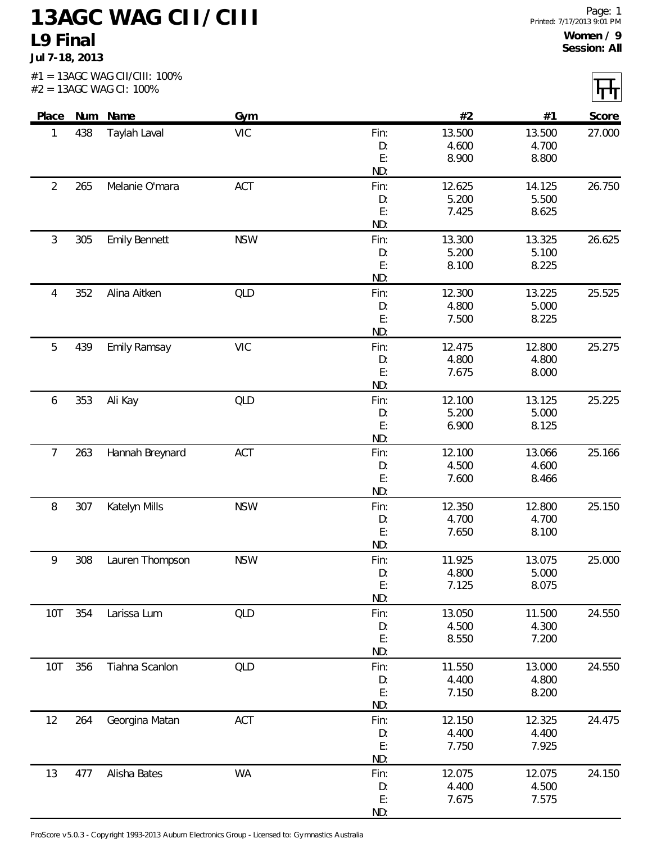## **13AGC WAG CII/CIII L9 Final**

**Jul 7-18, 2013**

|                |     | #2 = 13AGC WAG CI: 100% |            |           |                 |                 | ᄞ      |
|----------------|-----|-------------------------|------------|-----------|-----------------|-----------------|--------|
| Place          |     | Num Name                | Gym        |           | #2              | #1              | Score  |
| 1              | 438 | Taylah Laval            | <b>VIC</b> | Fin:      | 13.500          | 13.500          | 27.000 |
|                |     |                         |            | D:        | 4.600           | 4.700           |        |
|                |     |                         |            | E:        | 8.900           | 8.800           |        |
|                |     |                         |            | ND:       |                 |                 |        |
| $\overline{2}$ | 265 | Melanie O'mara          | ACT        | Fin:      | 12.625          | 14.125          | 26.750 |
|                |     |                         |            | D:        | 5.200           | 5.500           |        |
|                |     |                         |            | E:        | 7.425           | 8.625           |        |
|                |     |                         |            | ND:       |                 |                 |        |
| 3              | 305 | <b>Emily Bennett</b>    | <b>NSW</b> | Fin:      | 13.300          | 13.325          | 26.625 |
|                |     |                         |            | D:        | 5.200           | 5.100           |        |
|                |     |                         |            | E:        | 8.100           | 8.225           |        |
|                |     |                         |            | ND:       |                 |                 |        |
| 4              | 352 | Alina Aitken            | QLD        | Fin:      | 12.300          | 13.225          | 25.525 |
|                |     |                         |            | D:        | 4.800           | 5.000           |        |
|                |     |                         |            | E:        | 7.500           | 8.225           |        |
|                |     |                         |            | ND:       |                 |                 |        |
| 5              | 439 | <b>Emily Ramsay</b>     | <b>VIC</b> | Fin:      | 12.475          | 12.800          | 25.275 |
|                |     |                         |            | D:        | 4.800           | 4.800           |        |
|                |     |                         |            | E:        | 7.675           | 8.000           |        |
|                |     |                         |            | ND:       |                 |                 |        |
| 6              | 353 | Ali Kay                 | <b>QLD</b> | Fin:      | 12.100          | 13.125          | 25.225 |
|                |     |                         |            | D:        | 5.200           | 5.000           |        |
|                |     |                         |            | E:<br>ND: | 6.900           | 8.125           |        |
|                |     |                         |            |           |                 |                 |        |
| 7              | 263 | Hannah Breynard         | ACT        | Fin:      | 12.100<br>4.500 | 13.066<br>4.600 | 25.166 |
|                |     |                         |            | D:<br>E:  | 7.600           | 8.466           |        |
|                |     |                         |            | ND:       |                 |                 |        |
| 8              | 307 | Katelyn Mills           | <b>NSW</b> | Fin:      | 12.350          | 12.800          | 25.150 |
|                |     |                         |            | D:        | 4.700           | 4.700           |        |
|                |     |                         |            | E:        | 7.650           | 8.100           |        |
|                |     |                         |            | ND:       |                 |                 |        |
| 9              |     | 308 Lauren Thompson     | <b>NSW</b> | Fin:      | 11.925          | 13.075          | 25.000 |
|                |     |                         |            | D:        | 4.800           | 5.000           |        |
|                |     |                         |            | E:        | 7.125           | 8.075           |        |
|                |     |                         |            | ND:       |                 |                 |        |
| 10T            | 354 | Larissa Lum             | QLD        | Fin:      | 13.050          | 11.500          | 24.550 |
|                |     |                         |            | D:        | 4.500           | 4.300           |        |
|                |     |                         |            | E:        | 8.550           | 7.200           |        |
|                |     |                         |            | ND:       |                 |                 |        |
| 10T            | 356 | Tiahna Scanlon          | QLD        | Fin:      | 11.550          | 13.000          | 24.550 |
|                |     |                         |            | D:        | 4.400           | 4.800           |        |
|                |     |                         |            | E:        | 7.150           | 8.200           |        |
|                |     |                         |            | ND:       |                 |                 |        |
| 12             | 264 | Georgina Matan          | ACT        | Fin:      | 12.150          | 12.325          | 24.475 |
|                |     |                         |            | D:        | 4.400           | 4.400           |        |
|                |     |                         |            | E:        | 7.750           | 7.925           |        |
|                |     |                         |            | ND:       |                 |                 |        |
| 13             | 477 | Alisha Bates            | WA         | Fin:      | 12.075          | 12.075          | 24.150 |
|                |     |                         |            | D:        | 4.400           | 4.500           |        |
|                |     |                         |            | E:        | 7.675           | 7.575           |        |

ND:

ProScore v5.0.3 - Copyright 1993-2013 Auburn Electronics Group - Licensed to: Gymnastics Australia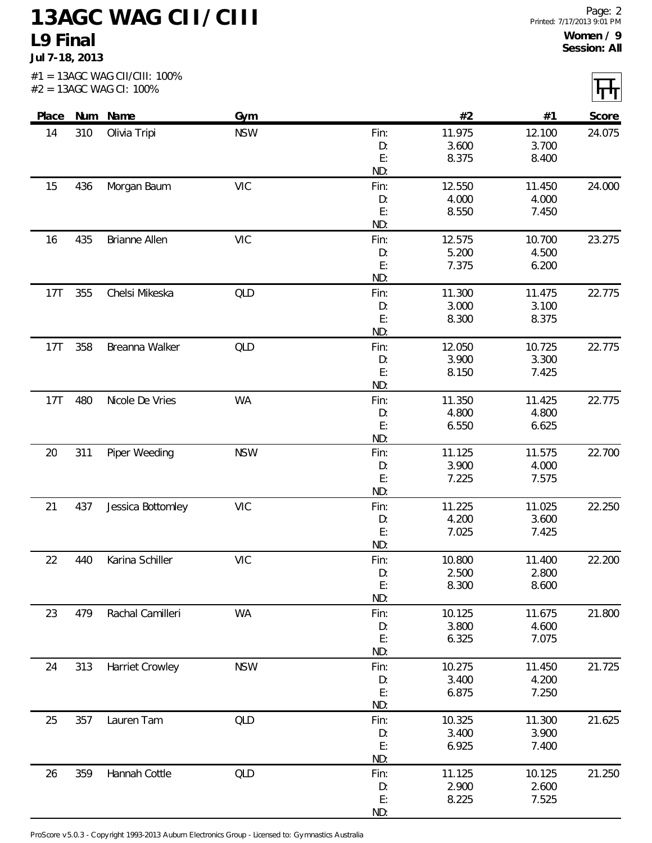## **13AGC WAG CII/CIII L9 Final**

**Jul 7-18, 2013**

| Place |     | Num Name          | Gym        |          | #2              | #1              | Score  |
|-------|-----|-------------------|------------|----------|-----------------|-----------------|--------|
| 14    | 310 | Olivia Tripi      | <b>NSW</b> | Fin:     | 11.975          | 12.100          | 24.075 |
|       |     |                   |            | D:       | 3.600           | 3.700           |        |
|       |     |                   |            | E:       | 8.375           | 8.400           |        |
|       |     |                   |            | ND:      |                 |                 |        |
| 15    | 436 | Morgan Baum       | <b>VIC</b> | Fin:     | 12.550          | 11.450          | 24.000 |
|       |     |                   |            | D:       | 4.000           | 4.000           |        |
|       |     |                   |            | E:       | 8.550           | 7.450           |        |
|       |     |                   |            | ND:      |                 |                 |        |
| 16    | 435 | Brianne Allen     | <b>VIC</b> | Fin:     | 12.575          | 10.700          | 23.275 |
|       |     |                   |            | D:<br>E: | 5.200<br>7.375  | 4.500<br>6.200  |        |
|       |     |                   |            | ND:      |                 |                 |        |
| 17T   | 355 | Chelsi Mikeska    | QLD        | Fin:     | 11.300          | 11.475          | 22.775 |
|       |     |                   |            | D:       | 3.000           | 3.100           |        |
|       |     |                   |            | E:       | 8.300           | 8.375           |        |
|       |     |                   |            | ND:      |                 |                 |        |
| 17T   | 358 | Breanna Walker    | <b>QLD</b> | Fin:     | 12.050          | 10.725          | 22.775 |
|       |     |                   |            | D:       | 3.900           | 3.300           |        |
|       |     |                   |            | E:       | 8.150           | 7.425           |        |
|       |     |                   |            | ND:      |                 |                 |        |
| 17T   | 480 | Nicole De Vries   | <b>WA</b>  | Fin:     | 11.350          | 11.425          | 22.775 |
|       |     |                   |            | D:       | 4.800           | 4.800           |        |
|       |     |                   |            | E:       | 6.550           | 6.625           |        |
|       |     |                   |            | ND:      |                 |                 |        |
| 20    | 311 | Piper Weeding     | <b>NSW</b> | Fin:     | 11.125<br>3.900 | 11.575<br>4.000 | 22.700 |
|       |     |                   |            | D:<br>E: | 7.225           | 7.575           |        |
|       |     |                   |            | ND:      |                 |                 |        |
| 21    | 437 | Jessica Bottomley | <b>VIC</b> | Fin:     | 11.225          | 11.025          | 22.250 |
|       |     |                   |            | D:       | 4.200           | 3.600           |        |
|       |     |                   |            | E:       | 7.025           | 7.425           |        |
|       |     |                   |            | ND:      |                 |                 |        |
| 22    | 440 | Karina Schiller   | <b>VIC</b> | Fin:     | 10.800          | 11.400          | 22.200 |
|       |     |                   |            | D:       | 2.500           | 2.800           |        |
|       |     |                   |            | E:       | 8.300           | 8.600           |        |
|       |     |                   |            | ND:      |                 |                 |        |
| 23    | 479 | Rachal Camilleri  | <b>WA</b>  | Fin:     | 10.125          | 11.675          | 21.800 |
|       |     |                   |            | D:<br>E: | 3.800<br>6.325  | 4.600<br>7.075  |        |
|       |     |                   |            | ND:      |                 |                 |        |
| 24    | 313 | Harriet Crowley   | <b>NSW</b> | Fin:     | 10.275          | 11.450          | 21.725 |
|       |     |                   |            | D:       | 3.400           | 4.200           |        |
|       |     |                   |            | E:       | 6.875           | 7.250           |        |
|       |     |                   |            | ND:      |                 |                 |        |
| 25    | 357 | Lauren Tam        | <b>QLD</b> | Fin:     | 10.325          | 11.300          | 21.625 |
|       |     |                   |            | D:       | 3.400           | 3.900           |        |
|       |     |                   |            | E:       | 6.925           | 7.400           |        |
|       |     |                   |            | ND:      |                 |                 |        |
| 26    | 359 | Hannah Cottle     | <b>QLD</b> | Fin:     | 11.125          | 10.125          | 21.250 |
|       |     |                   |            | D:       | 2.900           | 2.600           |        |
|       |     |                   |            | E:       | 8.225           | 7.525           |        |

ND:

ProScore v5.0.3 - Copyright 1993-2013 Auburn Electronics Group - Licensed to: Gymnastics Australia